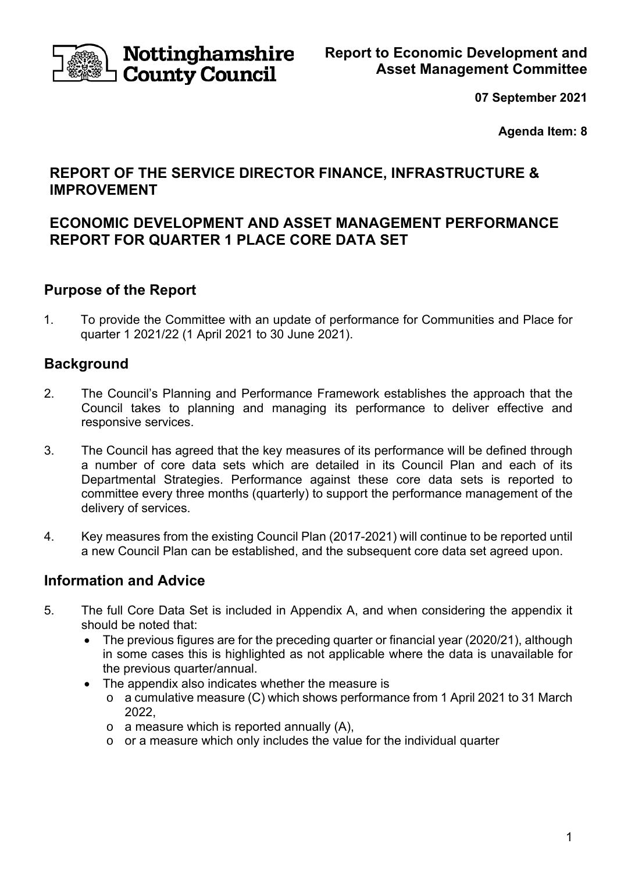

**Nottinghamshire County Council** 

**07 September 2021** 

**Agenda Item: 8** 

## **REPORT OF THE SERVICE DIRECTOR FINANCE, INFRASTRUCTURE & IMPROVEMENT**

## **ECONOMIC DEVELOPMENT AND ASSET MANAGEMENT PERFORMANCE REPORT FOR QUARTER 1 PLACE CORE DATA SET**

## **Purpose of the Report**

1. To provide the Committee with an update of performance for Communities and Place for quarter 1 2021/22 (1 April 2021 to 30 June 2021).

## **Background**

- 2. The Council's Planning and Performance Framework establishes the approach that the Council takes to planning and managing its performance to deliver effective and responsive services.
- 3. The Council has agreed that the key measures of its performance will be defined through a number of core data sets which are detailed in its Council Plan and each of its Departmental Strategies. Performance against these core data sets is reported to committee every three months (quarterly) to support the performance management of the delivery of services.
- 4. Key measures from the existing Council Plan (2017-2021) will continue to be reported until a new Council Plan can be established, and the subsequent core data set agreed upon.

## **Information and Advice**

- 5. The full Core Data Set is included in Appendix A, and when considering the appendix it should be noted that:
	- The previous figures are for the preceding quarter or financial year (2020/21), although in some cases this is highlighted as not applicable where the data is unavailable for the previous quarter/annual.
	- The appendix also indicates whether the measure is
		- o a cumulative measure (C) which shows performance from 1 April 2021 to 31 March 2022,
		- $\circ$  a measure which is reported annually (A),
		- $\circ$  or a measure which only includes the value for the individual quarter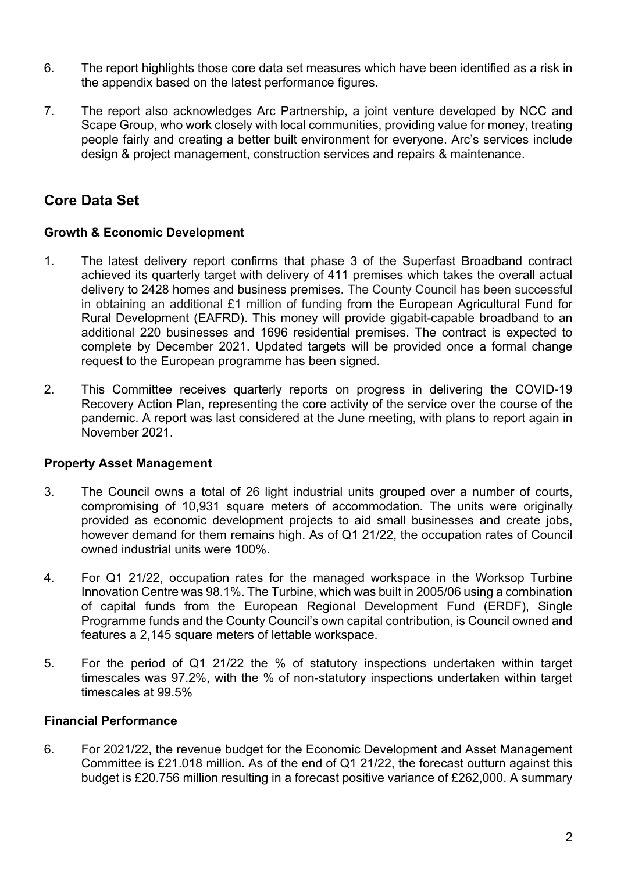- 6. The report highlights those core data set measures which have been identified as a risk in the appendix based on the latest performance figures.
- 7. The report also acknowledges Arc Partnership, a joint venture developed by NCC and Scape Group, who work closely with local communities, providing value for money, treating people fairly and creating a better built environment for everyone. Arc's services include design & project management, construction services and repairs & maintenance.

# **Core Data Set**

#### **Growth & Economic Development**

- 1. The latest delivery report confirms that phase 3 of the Superfast Broadband contract achieved its quarterly target with delivery of 411 premises which takes the overall actual delivery to 2428 homes and business premises. The County Council has been successful in obtaining an additional £1 million of funding from the European Agricultural Fund for Rural Development (EAFRD). This money will provide gigabit-capable broadband to an additional 220 businesses and 1696 residential premises. The contract is expected to complete by December 2021. Updated targets will be provided once a formal change request to the European programme has been signed.
- 2. This Committee receives quarterly reports on progress in delivering the COVID-19 Recovery Action Plan, representing the core activity of the service over the course of the pandemic. A report was last considered at the June meeting, with plans to report again in November 2021.

### **Property Asset Management**

- 3. The Council owns a total of 26 light industrial units grouped over a number of courts, compromising of 10,931 square meters of accommodation. The units were originally provided as economic development projects to aid small businesses and create jobs, however demand for them remains high. As of Q1 21/22, the occupation rates of Council owned industrial units were 100%.
- 4. For Q1 21/22, occupation rates for the managed workspace in the Worksop Turbine Innovation Centre was 98.1%. The Turbine, which was built in 2005/06 using a combination of capital funds from the European Regional Development Fund (ERDF), Single Programme funds and the County Council's own capital contribution, is Council owned and features a 2,145 square meters of lettable workspace.
- 5. For the period of Q1 21/22 the % of statutory inspections undertaken within target timescales was 97.2%, with the % of non-statutory inspections undertaken within target timescales at 99.5%

### **Financial Performance**

6. For 2021/22, the revenue budget for the Economic Development and Asset Management Committee is £21.018 million. As of the end of Q1 21/22, the forecast outturn against this budget is £20.756 million resulting in a forecast positive variance of £262,000. A summary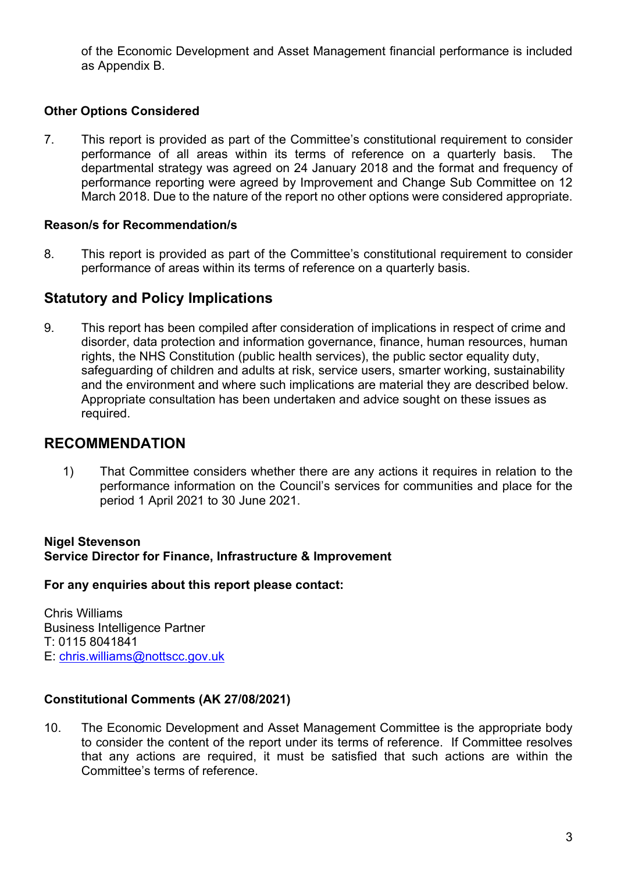of the Economic Development and Asset Management financial performance is included as Appendix B.

### **Other Options Considered**

7. This report is provided as part of the Committee's constitutional requirement to consider performance of all areas within its terms of reference on a quarterly basis. The departmental strategy was agreed on 24 January 2018 and the format and frequency of performance reporting were agreed by Improvement and Change Sub Committee on 12 March 2018. Due to the nature of the report no other options were considered appropriate.

#### **Reason/s for Recommendation/s**

8. This report is provided as part of the Committee's constitutional requirement to consider performance of areas within its terms of reference on a quarterly basis.

### **Statutory and Policy Implications**

9. This report has been compiled after consideration of implications in respect of crime and disorder, data protection and information governance, finance, human resources, human rights, the NHS Constitution (public health services), the public sector equality duty, safeguarding of children and adults at risk, service users, smarter working, sustainability and the environment and where such implications are material they are described below. Appropriate consultation has been undertaken and advice sought on these issues as required.

### **RECOMMENDATION**

1) That Committee considers whether there are any actions it requires in relation to the performance information on the Council's services for communities and place for the period 1 April 2021 to 30 June 2021.

#### **Nigel Stevenson Service Director for Finance, Infrastructure & Improvement**

#### **For any enquiries about this report please contact:**

Chris Williams Business Intelligence Partner T: 0115 8041841 E: chris.williams@nottscc.gov.uk

#### **Constitutional Comments (AK 27/08/2021)**

10. The Economic Development and Asset Management Committee is the appropriate body to consider the content of the report under its terms of reference. If Committee resolves that any actions are required, it must be satisfied that such actions are within the Committee's terms of reference.